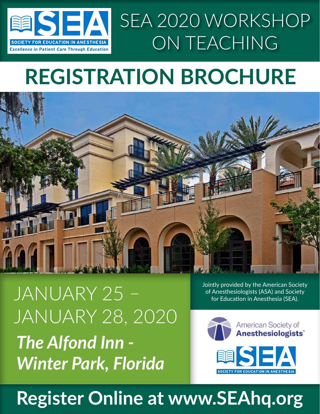

# **REGISTRATION BROCHURE**



*The Alfond Inn - Winter Park, Florida* JANUARY 25 JANUARY 28, 2020 Jointly provided by the American Society of Anesthesiologists (ASA) and Society for Education in Anesthesia (SEA).



# **Register Online at www.SEAhq.org**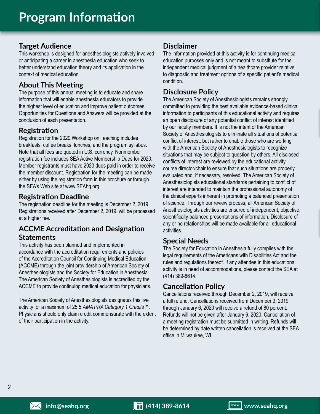### **Target Audience**

This workshop is designed for anesthesiologists actively involved or anticipating a career in anesthesia education who seek to better understand education theory and its application in the context of medical education.

### **About This Meeting**

The purpose of this annual meeting is to educate and share information that will enable anesthesia educators to provide the highest level of education and improve patient outcomes. Opportunities for Questions and Answers will be provided at the conclusion of each presentation.

#### **Registration**

Registration for the 2020 Workshop on Teaching includes breakfasts, coffee breaks, lunches, and the program syllabus. Note that all fees are quoted in U.S. currency. Nonmember registration fee includes SEA Active Membership Dues for 2020. Member registrants must have 2020 dues paid in order to receive the member discount. Registration for the meeting can be made either by using the registration form in this brochure or through the SEA's Web site at www.SEAhq.org.

### **Registration Deadline**

The registration deadline for the meeting is December 2, 2019. Registrations received after December 2, 2019, will be processed at a higher fee.

### **ACCME Accreditation and Designation Statements**

This activity has been planned and implemented in accordance with the accreditation requirements and policies of the Accreditation Council for Continuing Medical Education (ACCME) through the joint providership of American Society of Anesthesiologists and the Society for Education in Anesthesia. The American Society of Anesthesiologists is accredited by the ACCME to provide continuing medical education for physicians.

The American Society of Anesthesiologists designates this live activity for a maximum of 25.5 *AMA PRA Category 1 Credits*™. Physicians should only claim credit commensurate with the extent of their participation in the activity.

### **Disclaimer**

The information provided at this activity is for continuing medical education purposes only and is not meant to substitute for the independent medical judgment of a healthcare provider relative to diagnostic and treatment options of a specific patient's medical condition.

### **Disclosure Policy**

The American Society of Anesthesiologists remains strongly committed to providing the best available evidence-based clinical information to participants of this educational activity and requires an open disclosure of any potential conflict of interest identified by our faculty members. It is not the intent of the American Society of Anesthesiologists to eliminate all situations of potential conflict of interest, but rather to enable those who are working with the American Society of Anesthesiologists to recognize situations that may be subject to question by others. All disclosed conflicts of interest are reviewed by the educational activity course director/chair to ensure that such situations are properly evaluated and, if necessary, resolved. The American Society of Anesthesiologists educational standards pertaining to conflict of interest are intended to maintain the professional autonomy of the clinical experts inherent in promoting a balanced presentation of science. Through our review process, all American Society of Anesthesiologists activities are ensured of independent, objective, scientifically balanced presentations of information. Disclosure of any or no relationships will be made available for all educational activities.

### **Special Needs**

The Society for Education in Anesthesia fully complies with the legal requirements of the Americans with Disabilities Act and the rules and regulations thereof. If any attendee in this educational activity is in need of accommodations, please contact the SEA at (414) 389-8614.

#### **Cancellation Policy**

Cancellations received through December 2, 2019, will receive a full refund. Cancellations received from December 3, 2019 through January 6, 2020 will receive a refund of 80 percent. Refunds will not be given after January 6, 2020. Cancellation of a meeting registration must be submitted in writing. Refunds will be determined by date written cancellation is received at the SEA office in Milwaukee, WI.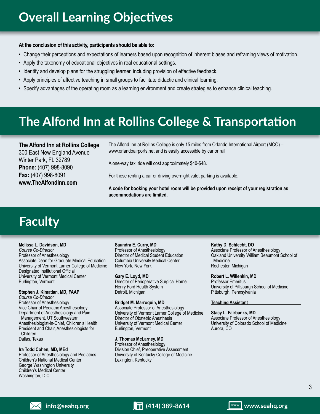#### **At the conclusion of this activity, participants should be able to:**

- Change their perceptions and expectations of learners based upon recognition of inherent biases and reframing views of motivation.
- Apply the taxonomy of educational objectives in real educational settings.
- Identify and develop plans for the struggling learner, including provision of effective feedback.
- Apply principles of affective teaching in small groups to facilitate didactic and clinical learning.
- Specify advantages of the operating room as a learning environment and create strategies to enhance clinical teaching.

## **The Alfond Inn at Rollins College & Transportation**

**The Alfond Inn at Rollins College** 300 East New England Avenue Winter Park, FL 32789 **Phone:** (407) 998-8090 **Fax:** (407) 998-8091 **www.TheAlfondInn.com**

The Alfond Inn at Rollins College is only 15 miles from Orlando International Airport (MCO) – www.orlandoairports.net and is easily accessible by car or rail.

A one-way taxi ride will cost approximately \$40-\$48.

For those renting a car or driving overnight valet parking is available.

**A code for booking your hotel room will be provided upon receipt of your registration as accommodations are limited.**

# **Faculty**

#### **Melissa L. Davidson, MD**

*Course Co-Director* Professor of Anesthesiology Associate Dean for Graduate Medical Education University of Vermont Larner College of Medicine Designated Institutional Official University of Vermont Medical Center Burlington, Vermont

#### **Stephen J. Kimatian, MD, FAAP**

*Course Co-Director* Professor of Anesthesiology Vice Chair of Pediatric Anesthesiology Department of Anesthesiology and Pain Management, UT Southwestern Anesthesiologist-In-Chief, Children's Health President and Chair, Anesthesiologists for Children Dallas, Texas

#### **Ira Todd Cohen, MD, MEd**

Professor of Anesthesiology and Pediatrics Children's National Medical Center George Washington University Children's Medical Center Washington, D.C.

#### **Saundra E. Curry, MD**

Professor of Anesthesiology Director of Medical Student Education Columbia University Medical Center New York, New York

**Gary E. Loyd, MD** Director of Perioperative Surgical Home Henry Ford Health System Detroit, Michigan

#### **Bridget M. Marroquin, MD** Associate Professor of Anesthesiology

University of Vermont Larner College of Medicine Director of Obstetric Anesthesia University of Vermont Medical Center Burlington, Vermont

#### **J. Thomas McLarney, MD**

Professor of Anesthesiology Division Chief, Preoperative Assessment University of Kentucky College of Medicine Lexington, Kentucky

**Kathy D. Schlecht, DO**  Associate Professor of Anesthesiology Oakland University William Beaumont School of Medicine Rochester, Michigan

**Robert L. Willenkin, MD**  Professor Emeritus University of Pittsburgh School of Medicine Pittsburgh, Pennsylvania

#### **Teaching Assistant**

**Stacy L. Fairbanks, MD** Associate Professor of Anesthesiology University of Colorado School of Medicine Aurora, CO

#### **info@seahq.org (414) 389-8614 www.seahq.org**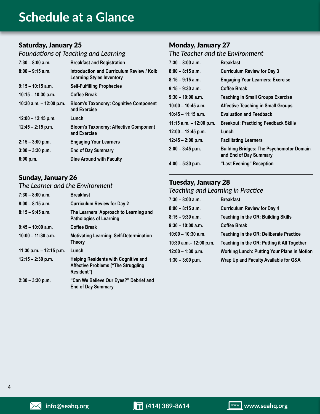### **Schedule at a Glance**

### Saturday, January 25

### *Foundations of Teaching and Learning*

| $7:30 - 8:00$ a.m.        | <b>Breakfast and Registration</b>                                             |
|---------------------------|-------------------------------------------------------------------------------|
| $8:00 - 9:15$ a.m.        | Introduction and Curriculum Review / Kolb<br><b>Learning Styles Inventory</b> |
| $9:15 - 10:15$ a.m.       | <b>Self-Fulfilling Prophecies</b>                                             |
| $10:15 - 10:30$ a.m.      | Coffee Break                                                                  |
| 10:30 a.m. $-$ 12:00 p.m. | <b>Bloom's Taxonomy: Cognitive Component</b><br>and Exercise                  |
| $12:00 - 12:45$ p.m.      | Lunch                                                                         |
| $12:45 - 2:15$ p.m.       | <b>Bloom's Taxonomy: Affective Component</b><br>and Exercise                  |
| $2:15 - 3:00$ p.m.        | <b>Engaging Your Learners</b>                                                 |
| $3:00 - 3:30$ p.m.        | <b>End of Day Summary</b>                                                     |
| 6:00 p.m.                 | <b>Dine Around with Faculty</b>                                               |

### Sunday, January 26

### *The Learner and the Environment*

| $7:30 - 8:00$ a.m.        | <b>Breakfast</b>                                                                                        |
|---------------------------|---------------------------------------------------------------------------------------------------------|
| $8:00 - 8:15$ a.m.        | <b>Curriculum Review for Day 2</b>                                                                      |
| $8:15 - 9:45$ a.m.        | The Learners' Approach to Learning and<br><b>Pathologies of Learning</b>                                |
| $9:45 - 10:00$ a.m.       | <b>Coffee Break</b>                                                                                     |
| $10:00 - 11:30$ a.m.      | <b>Motivating Learning: Self-Determination</b><br><b>Theory</b>                                         |
| 11:30 a.m. $-$ 12:15 p.m. | Lunch                                                                                                   |
| $12:15 - 2:30$ p.m.       | <b>Helping Residents with Cognitive and</b><br><b>Affective Problems ("The Struggling</b><br>Resident") |
| $2:30 - 3:30$ p.m.        | "Can We Believe Our Eyes?" Debrief and<br><b>End of Day Summary</b>                                     |

#### Monday, January 27 *The Teacher and the Environment*

| $7:30 - 8:00$ a.m.        | <b>Breakfast</b>                                                          |
|---------------------------|---------------------------------------------------------------------------|
| $8:00 - 8:15$ a.m.        | <b>Curriculum Review for Day 3</b>                                        |
| $8:15 - 9:15$ a.m.        | <b>Engaging Your Learners: Exercise</b>                                   |
| $9:15 - 9:30$ a.m.        | <b>Coffee Break</b>                                                       |
| $9:30 - 10:00$ a.m.       | <b>Teaching in Small Groups Exercise</b>                                  |
| $10:00 - 10:45$ a.m.      | <b>Affective Teaching in Small Groups</b>                                 |
| $10:45 - 11:15$ a.m.      | <b>Evaluation and Feedback</b>                                            |
| 11:15 a.m. $-$ 12:00 p.m. | <b>Breakout: Practicing Feedback Skills</b>                               |
| $12:00 - 12:45$ p.m.      | Lunch                                                                     |
| $12:45 - 2:00$ p.m.       | <b>Facilitating Learners</b>                                              |
| $2:00 - 3:45$ p.m.        | <b>Building Bridges: The Psychomotor Domain</b><br>and End of Day Summary |
| $4:00 - 5:30$ p.m.        | "Last Evening" Reception                                                  |
|                           |                                                                           |

### Tuesday, January 28

#### *Teaching and Learning in Practice*

| 7:30 - 8:00 a.m.       | <b>Breakfast</b>                                   |
|------------------------|----------------------------------------------------|
| $8:00 - 8:15$ a.m.     | <b>Curriculum Review for Day 4</b>                 |
| 8:15 – 9:30 a.m.       | Teaching in the OR: Building Skills                |
| 9:30 – 10:00 a.m.      | <b>Coffee Break</b>                                |
| 10:00 - 10:30 a.m.     | Teaching in the OR: Deliberate Practice            |
| 10:30 a.m.– 12:00 p.m. | Teaching in the OR: Putting it All Together        |
| $12:00 - 1:30$ p.m.    | <b>Working Lunch: Putting Your Plans in Motion</b> |
| $1:30 - 3:00$ p.m.     | Wrap Up and Faculty Available for Q&A              |
|                        |                                                    |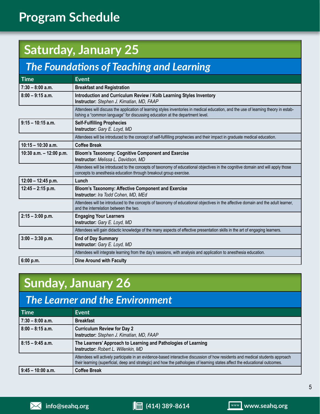# **Program Schedule**

# **Saturday, January 25**

### *The Foundations of Teaching and Learning*

| <b>Time</b>               | <b>Event</b>                                                                                                                                                                                                          |
|---------------------------|-----------------------------------------------------------------------------------------------------------------------------------------------------------------------------------------------------------------------|
| $7:30 - 8:00$ a.m.        | <b>Breakfast and Registration</b>                                                                                                                                                                                     |
| $8:00 - 9:15$ a.m.        | Introduction and Curriculum Review / Kolb Learning Styles Inventory<br>Instructor: Stephen J. Kimatian, MD, FAAP                                                                                                      |
|                           | Attendees will discuss the application of learning styles inventories in medical education, and the use of learning theory in estab-<br>lishing a "common language" for discussing education at the department level. |
| $9:15 - 10:15$ a.m.       | <b>Self-Fulfilling Prophecies</b><br>Instructor: Gary E. Loyd, MD                                                                                                                                                     |
|                           | Attendees will be introduced to the concept of self-fulfilling prophecies and their impact in graduate medical education.                                                                                             |
| $10:15 - 10:30$ a.m.      | <b>Coffee Break</b>                                                                                                                                                                                                   |
| 10:30 a.m. $-$ 12:00 p.m. | <b>Bloom's Taxonomy: Cognitive Component and Exercise</b><br>Instructor: Melissa L. Davidson, MD                                                                                                                      |
|                           | Attendees will be introduced to the concepts of taxonomy of educational objectives in the cognitive domain and will apply those<br>concepts to anesthesia education through breakout group exercise.                  |
| $12:00 - 12:45$ p.m.      | Lunch                                                                                                                                                                                                                 |
| $12:45 - 2:15$ p.m.       | <b>Bloom's Taxonomy: Affective Component and Exercise</b><br>Instructor: Ira Todd Cohen, MD, MEd                                                                                                                      |
|                           | Attendees will be introduced to the concepts of taxonomy of educational objectives in the affective domain and the adult learner,<br>and the interrelation between the two.                                           |
| $2:15 - 3:00$ p.m.        | <b>Engaging Your Learners</b><br>Instructor: Gary E. Loyd, MD                                                                                                                                                         |
|                           | Attendees will gain didactic knowledge of the many aspects of effective presentation skills in the art of engaging learners.                                                                                          |
| $3:00 - 3:30$ p.m.        | <b>End of Day Summary</b><br>Instructor: Gary E. Loyd, MD                                                                                                                                                             |
|                           | Attendees will integrate learning from the day's sessions, with analysis and application to anesthesia education.                                                                                                     |
| 6:00 p.m.                 | <b>Dine Around with Faculty</b>                                                                                                                                                                                       |

### **Sunday, January 26**

### *The Learner and the Environment*

| <b>Time</b>         | <b>Event</b>                                                                                                                                                                                                                                                   |
|---------------------|----------------------------------------------------------------------------------------------------------------------------------------------------------------------------------------------------------------------------------------------------------------|
| $7:30 - 8:00$ a.m.  | <b>Breakfast</b>                                                                                                                                                                                                                                               |
| $8:00 - 8:15$ a.m.  | <b>Curriculum Review for Day 2</b><br>Instructor: Stephen J. Kimatian, MD, FAAP                                                                                                                                                                                |
| $8:15 - 9:45$ a.m.  | The Learners' Approach to Learning and Pathologies of Learning<br>Instructor: Robert L. Willenkin, MD                                                                                                                                                          |
|                     | Attendees will actively participate in an evidence-based interactive discussion of how residents and medical students approach<br>their learning (superficial, deep and strategic) and how the pathologies of learning states affect the educational outcomes. |
| $9:45 - 10:00$ a.m. | <b>Coffee Break</b>                                                                                                                                                                                                                                            |

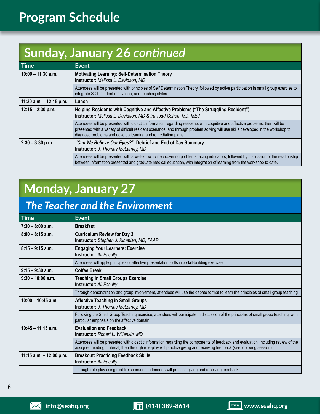# **Program Schedule**

# **Sunday, January 26** *continued*

| Time                      | <b>Event</b>                                                                                                                                                                                                                                                                                                                         |
|---------------------------|--------------------------------------------------------------------------------------------------------------------------------------------------------------------------------------------------------------------------------------------------------------------------------------------------------------------------------------|
| $10:00 - 11:30$ a.m.      | <b>Motivating Learning: Self-Determination Theory</b><br>Instructor: Melissa L. Davidson, MD                                                                                                                                                                                                                                         |
|                           | Attendees will be presented with principles of Self Determination Theory, followed by active participation in small group exercise to<br>integrate SDT, student motivation, and teaching styles.                                                                                                                                     |
| 11:30 a.m. $-$ 12:15 p.m. | Lunch                                                                                                                                                                                                                                                                                                                                |
| $12:15 - 2:30$ p.m.       | Helping Residents with Cognitive and Affective Problems ("The Struggling Resident")<br>Instructor: Melissa L. Davidson, MD & Ira Todd Cohen, MD, MEd                                                                                                                                                                                 |
|                           | Attendees will be presented with didactic information regarding residents with cognitive and affective problems; then will be<br>presented with a variety of difficult resident scenarios, and through problem solving will use skills developed in the workshop to<br>diagnose problems and develop learning and remediation plans. |
| $2:30 - 3:30$ p.m.        | "Can We Believe Our Eyes?" Debrief and End of Day Summary<br>Instructor: J. Thomas McLarney, MD                                                                                                                                                                                                                                      |
|                           | Attendees will be presented with a well-known video covering problems facing educators, followed by discussion of the relationship<br>between information presented and graduate medical education, with integration of learning from the workshop to date.                                                                          |

# **Monday, January 27**

### *The Teacher and the Environment*

| <b>Time</b>               | <b>Event</b>                                                                                                                                                                                                                                                 |
|---------------------------|--------------------------------------------------------------------------------------------------------------------------------------------------------------------------------------------------------------------------------------------------------------|
| $7:30 - 8:00$ a.m.        | <b>Breakfast</b>                                                                                                                                                                                                                                             |
| $8:00 - 8:15$ a.m.        | <b>Curriculum Review for Day 3</b><br><b>Instructor:</b> Stephen J. Kimatian, MD, FAAP                                                                                                                                                                       |
| $8:15 - 9:15$ a.m.        | <b>Engaging Your Learners: Exercise</b><br><b>Instructor: All Faculty</b>                                                                                                                                                                                    |
|                           | Attendees will apply principles of effective presentation skills in a skill-building exercise.                                                                                                                                                               |
| $9:15 - 9:30$ a.m.        | <b>Coffee Break</b>                                                                                                                                                                                                                                          |
| $9:30 - 10:00$ a.m.       | <b>Teaching in Small Groups Exercise</b><br><b>Instructor: All Faculty</b>                                                                                                                                                                                   |
|                           | Through demonstration and group involvement, attendees will use the debate format to learn the principles of small group teaching.                                                                                                                           |
| $10:00 - 10:45$ a.m.      | <b>Affective Teaching in Small Groups</b><br>Instructor: J. Thomas McLarney, MD                                                                                                                                                                              |
|                           | Following the Small Group Teaching exercise, attendees will participate in discussion of the principles of small group teaching, with<br>particular emphasis on the affective domain.                                                                        |
| $10:45 - 11:15$ a.m.      | <b>Evaluation and Feedback</b><br>Instructor: Robert L. Willenkin, MD                                                                                                                                                                                        |
|                           | Attendees will be presented with didactic information regarding the components of feedback and evaluation, including review of the<br>assigned reading material; then through role-play will practice giving and receiving feedback (see following session). |
| 11:15 a.m. $-$ 12:00 p.m. | <b>Breakout: Practicing Feedback Skills</b><br><b>Instructor: All Faculty</b>                                                                                                                                                                                |
|                           | Through role play using real life scenarios, attendees will practice giving and receiving feedback.                                                                                                                                                          |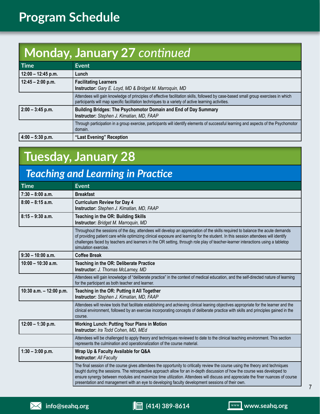# **Program Schedule**

# **Monday, January 27** *continued*

| <b>Time</b>          | <b>Event</b>                                                                                                                                                                                                                              |
|----------------------|-------------------------------------------------------------------------------------------------------------------------------------------------------------------------------------------------------------------------------------------|
| $12:00 - 12:45 p.m.$ | Lunch                                                                                                                                                                                                                                     |
| $12:45 - 2:00$ p.m.  | <b>Facilitating Learners</b><br>Instructor: Gary E. Loyd, MD & Bridget M. Marroquin, MD                                                                                                                                                   |
|                      | Attendees will gain knowledge of principles of effective facilitation skills, followed by case-based small group exercises in which<br>participants will map specific facilitation techniques to a variety of active learning activities. |
| $2:00 - 3:45$ p.m.   | Building Bridges: The Psychomotor Domain and End of Day Summary<br>Instructor: Stephen J. Kimatian, MD, FAAP                                                                                                                              |
|                      | Through participation in a group exercise, participants will identify elements of successful learning and aspects of the Psychomotor<br>domain.                                                                                           |
| $4:00 - 5:30$ p.m.   | "Last Evening" Reception                                                                                                                                                                                                                  |

# **Tuesday, January 28**

### *Teaching and Learning in Practice*

| <b>Time</b>               | Event                                                                                                                                                                                                                                                                                                                                                                                                                                                                                                |
|---------------------------|------------------------------------------------------------------------------------------------------------------------------------------------------------------------------------------------------------------------------------------------------------------------------------------------------------------------------------------------------------------------------------------------------------------------------------------------------------------------------------------------------|
| $7:30 - 8:00$ a.m.        | <b>Breakfast</b>                                                                                                                                                                                                                                                                                                                                                                                                                                                                                     |
| $8:00 - 8:15$ a.m.        | <b>Curriculum Review for Day 4</b><br>Instructor: Stephen J. Kimatian, MD, FAAP                                                                                                                                                                                                                                                                                                                                                                                                                      |
| $8:15 - 9:30$ a.m.        | Teaching in the OR: Building Skills<br>Instructor: Bridget M. Marroquin, MD                                                                                                                                                                                                                                                                                                                                                                                                                          |
|                           | Throughout the sessions of the day, attendees will develop an appreciation of the skills required to balance the acute demands<br>of providing patient care while optimizing clinical exposure and learning for the student. In this session attendees will identify<br>challenges faced by teachers and learners in the OR setting, through role play of teacher-learner interactions using a tabletop<br>simulation exercise.                                                                      |
| $9:30 - 10:00$ a.m.       | <b>Coffee Break</b>                                                                                                                                                                                                                                                                                                                                                                                                                                                                                  |
| $10:00 - 10:30$ a.m.      | Teaching in the OR: Deliberate Practice<br>Instructor: J. Thomas McLarney, MD                                                                                                                                                                                                                                                                                                                                                                                                                        |
|                           | Attendees will gain knowledge of "deliberate practice" in the context of medical education, and the self-directed nature of learning<br>for the participant as both teacher and learner.                                                                                                                                                                                                                                                                                                             |
| 10:30 a.m. $-$ 12:00 p.m. | Teaching in the OR: Putting it All Together<br>Instructor: Stephen J. Kimatian, MD, FAAP                                                                                                                                                                                                                                                                                                                                                                                                             |
|                           | Attendees will review tools that facilitate establishing and achieving clinical leaning objectives appropriate for the learner and the<br>clinical environment, followed by an exercise incorporating concepts of deliberate practice with skills and principles gained in the<br>course.                                                                                                                                                                                                            |
| $12:00 - 1:30$ p.m.       | <b>Working Lunch: Putting Your Plans in Motion</b><br>Instructor: Ira Todd Cohen, MD, MEd                                                                                                                                                                                                                                                                                                                                                                                                            |
|                           | Attendees will be challenged to apply theory and techniques reviewed to date to the clinical teaching environment. This section<br>represents the culmination and operationalization of the course material.                                                                                                                                                                                                                                                                                         |
| $1:30 - 3:00$ p.m.        | Wrap Up & Faculty Available for Q&A<br><b>Instructor: All Faculty</b>                                                                                                                                                                                                                                                                                                                                                                                                                                |
|                           | The final session of the course gives attendees the opportunity to critically review the course using the theory and techniques<br>taught during the sessions. The retrospective approach allow for an in-depth discussion of how the course was developed to<br>ensure synergy between modules and maximize time utilization. Attendees will discuss and appreciate the finer nuances of course<br>presentation and management with an eye to developing faculty development sessions of their own. |